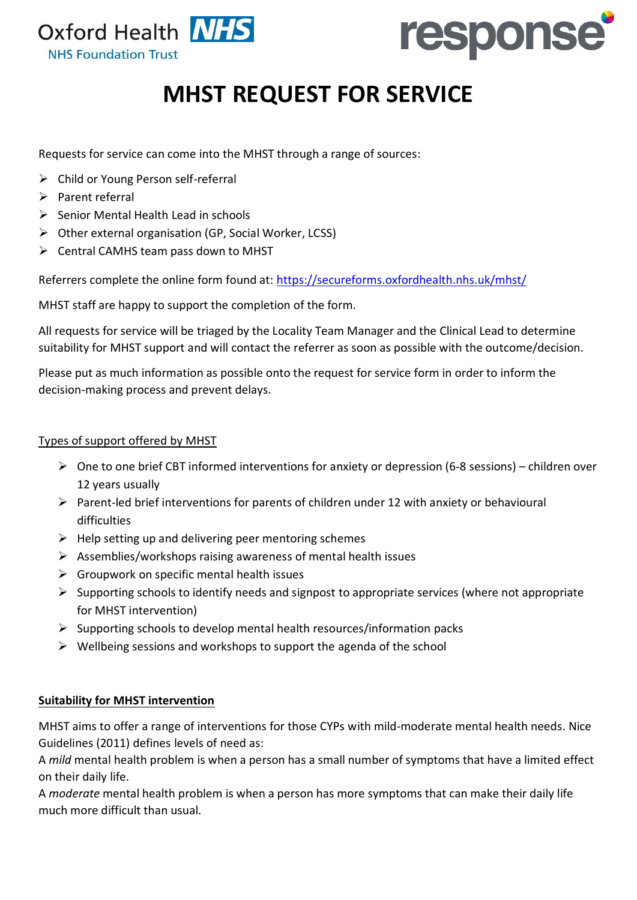



# **MHST REQUEST FOR SERVICE**

Requests for service can come into the MHST through a range of sources:

- ➢ Child or Young Person self-referral
- ➢ Parent referral
- ➢ Senior Mental Health Lead in schools
- ➢ Other external organisation (GP, Social Worker, LCSS)
- $\triangleright$  Central CAMHS team pass down to MHST

Referrers complete the online form found at:<https://secureforms.oxfordhealth.nhs.uk/mhst/>

MHST staff are happy to support the completion of the form.

All requests for service will be triaged by the Locality Team Manager and the Clinical Lead to determine suitability for MHST support and will contact the referrer as soon as possible with the outcome/decision.

Please put as much information as possible onto the request for service form in order to inform the decision-making process and prevent delays.

## Types of support offered by MHST

- $\triangleright$  One to one brief CBT informed interventions for anxiety or depression (6-8 sessions) children over 12 years usually
- $\triangleright$  Parent-led brief interventions for parents of children under 12 with anxiety or behavioural difficulties
- $\triangleright$  Help setting up and delivering peer mentoring schemes
- ➢ Assemblies/workshops raising awareness of mental health issues
- $\triangleright$  Groupwork on specific mental health issues
- $\triangleright$  Supporting schools to identify needs and signpost to appropriate services (where not appropriate for MHST intervention)
- $\triangleright$  Supporting schools to develop mental health resources/information packs
- $\triangleright$  Wellbeing sessions and workshops to support the agenda of the school

## **Suitability for MHST intervention**

MHST aims to offer a range of interventions for those CYPs with mild-moderate mental health needs. Nice Guidelines (2011) defines levels of need as:

A *mild* mental health problem is when a person has a small number of symptoms that have a limited effect on their daily life.

A *moderate* mental health problem is when a person has more symptoms that can make their daily life much more difficult than usual.